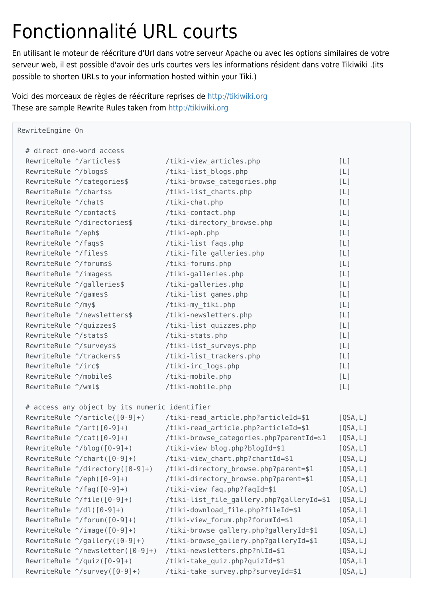## Fonctionnalité URL courts

En utilisant le moteur de réécriture d'Url dans votre serveur Apache ou avec les options similaires de votre serveur web, il est possible d'avoir des urls courtes vers les informations résident dans votre Tikiwiki .(its possible to shorten URLs to your information hosted within your Tiki.)

Voici des morceaux de règles de réécriture reprises de<http://tikiwiki.org> These are sample Rewrite Rules taken from<http://tikiwiki.org>

```
RewriteEngine On
  # direct one-word access
 RewriteRule ^/articles$ /tiki-view articles.php [L]
 RewriteRule ^/blogs$ /tiki-list blogs.php [L]
 RewriteRule \hat{\ }/categories$ /tiki-browse categories.php [L]
 RewriteRule ^/charts$ /tiki-list charts.php [L]
 RewriteRule \hat{\ }/chat$ /tiki-chat.php [L]
 RewriteRule \gamma/contact$ /tiki-contact.php [L]
 RewriteRule \gammadirectories$ /tiki-directory browse.php [L]
 RewriteRule \gamma/eph$ /tiki-eph.php \lceil L \rceilRewriteRule \gammafaqs$ /tiki-list faqs.php [L]
 RewriteRule \gammafiles$ /tiki-file galleries.php [L]
 RewriteRule \gammaforums$ /tiki-forums.php [L]
 RewriteRule \gammaimages$ /tiki-galleries.php [L]
 RewriteRule ^/galleries$ /tiki-galleries.php [L]
 RewriteRule \gamma/games$ /tiki-list games.php [L]
 RewriteRule \gamma/my$ /tiki-my_tiki.php [L]
 RewriteRule \gamma/newsletters$ /tiki-newsletters.php [L]
 RewriteRule \gamma/quizzes$ /tiki-list quizzes.php [L]
 RewriteRule \gamma/stats$ /tiki-stats.php [L]
 RewriteRule \gammasurveys$ /tiki-list surveys.php [L]
 RewriteRule \gammatrackers$ /tiki-list trackers.php [L]
 RewriteRule \gammairc$ /tiki-irc logs.php [L]
 RewriteRule \gammamobile$ /tiki-mobile.php [L]
 RewriteRule \gamma/wml$ /tiki-mobile.php / /tiki-mobile.php /
  # access any object by its numeric identifier
 RewriteRule \gammaarticle([0-9]+) /tiki-read article.php?articleId=$1 [QSA,L]
 RewriteRule \gammaart([0-9]+) /tiki-read_article.php?articleId=$1 [QSA,L]
 RewriteRule \gamma(cat([0-9]+) /tiki-browse categories.php?parentId=$1 [QSA,L]
 RewriteRule \gammablog([0-9]+) /tiki-view blog.php?blogId=$1 [QSA,L]
 RewriteRule \gammachart([0-9]+) /tiki-view_chart.php?chartId=$1 [QSA,L]
 RewriteRule \gammadirectory([0-9]+) /tiki-directory browse.php?parent=$1 [QSA,L]
```

| RewriteRule $\gamma$ (eph( $[0-9]+$ )       | /tiki-directory browse.php?parent=\$1     | [QSA, L] |
|---------------------------------------------|-------------------------------------------|----------|
| RewriteRule $\gamma$ faq( $[0-9]+$ )        | /tiki-view faq.php?faqId=\$1              | [QSA, L] |
| RewriteRule $\gamma$ file( $[0-9]+$ )       | /tiki-list_file_gallery.php?galleryId=\$1 | [QSA, L] |
| RewriteRule $\gamma$ dl( $[0-9]+$ )         | /tiki-download_file.php?fileId=\$1        | [QSA, L] |
| RewriteRule $\gamma$ forum( $[0-9]+$ )      | /tiki-view forum.php?forumId=\$1          | [QSA, L] |
| RewriteRule $\gamma$ image( $[0-9]+$ )      | /tiki-browse gallery.php?galleryId=\$1    | [QSA, L] |
| RewriteRule $\gamma$ gallery( $[0-9]+$ )    | /tiki-browse gallery.php?galleryId=\$1    | [QSA, L] |
| RewriteRule $\gamma$ newsletter( $[0-9]+$ ) | /tiki-newsletters.php?nlId=\$1            | [QSA, L] |
| RewriteRule $\gamma$ quiz( $[0-9]+$ )       | /tiki-take quiz.php?quizId=\$1            | [QSA, L] |
| RewriteRule ^/survey([0-9]+)                | /tiki-take survey.php?surveyId=\$1        | [QSA, L] |
|                                             |                                           |          |